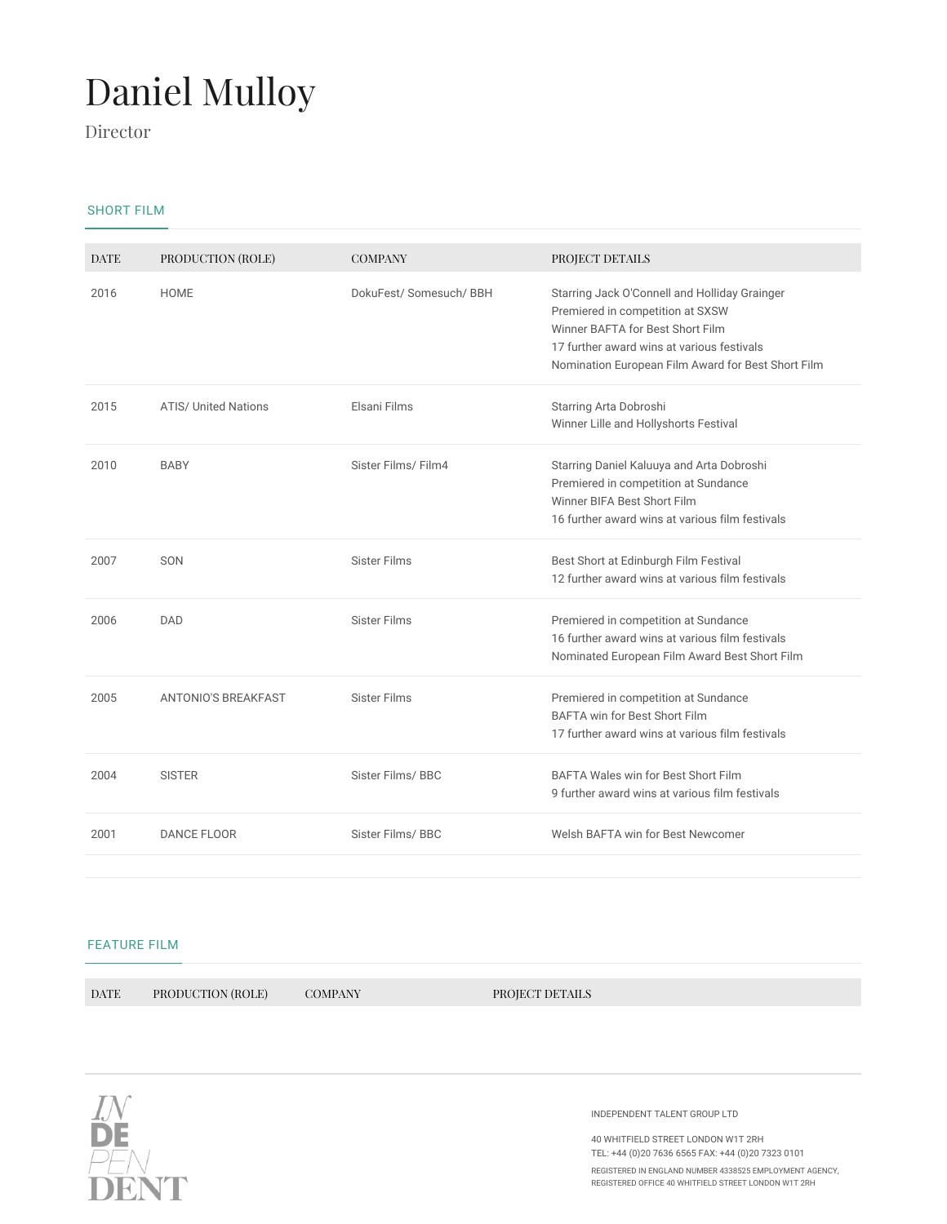## Daniel Mulloy

Director

## SHORT FILM

| <b>DATE</b> | PRODUCTION (ROLE)           | <b>COMPANY</b>          | PROJECT DETAILS                                                                                                                                                                                                           |
|-------------|-----------------------------|-------------------------|---------------------------------------------------------------------------------------------------------------------------------------------------------------------------------------------------------------------------|
| 2016        | <b>HOME</b>                 | DokuFest/ Somesuch/ BBH | Starring Jack O'Connell and Holliday Grainger<br>Premiered in competition at SXSW<br>Winner BAFTA for Best Short Film<br>17 further award wins at various festivals<br>Nomination European Film Award for Best Short Film |
| 2015        | <b>ATIS/ United Nations</b> | Elsani Films            | Starring Arta Dobroshi<br>Winner Lille and Hollyshorts Festival                                                                                                                                                           |
| 2010        | <b>BABY</b>                 | Sister Films/ Film4     | Starring Daniel Kaluuya and Arta Dobroshi<br>Premiered in competition at Sundance<br>Winner BIFA Best Short Film<br>16 further award wins at various film festivals                                                       |
| 2007        | SON                         | <b>Sister Films</b>     | Best Short at Edinburgh Film Festival<br>12 further award wins at various film festivals                                                                                                                                  |
| 2006        | DAD                         | <b>Sister Films</b>     | Premiered in competition at Sundance<br>16 further award wins at various film festivals<br>Nominated European Film Award Best Short Film                                                                                  |
| 2005        | ANTONIO'S BREAKFAST         | <b>Sister Films</b>     | Premiered in competition at Sundance<br>BAFTA win for Best Short Film<br>17 further award wins at various film festivals                                                                                                  |
| 2004        | <b>SISTER</b>               | Sister Films/BBC        | BAFTA Wales win for Best Short Film<br>9 further award wins at various film festivals                                                                                                                                     |
| 2001        | <b>DANCE FLOOR</b>          | Sister Films/BBC        | Welsh BAFTA win for Best Newcomer                                                                                                                                                                                         |

## FEATURE FILM

DATE PRODUCTION (ROLE) COMPANY PROJECT DETAILS



INDEPENDENT TALENT GROUP LTD

40 WHITFIELD STREET LONDON W1T 2RH TEL: +44 (0)20 7636 6565 FAX: +44 (0)20 7323 0101

REGISTERED IN ENGLAND NUMBER 4338525 EMPLOYMENT AGENCY, REGISTERED OFFICE 40 WHITFIELD STREET LONDON W1T 2RH